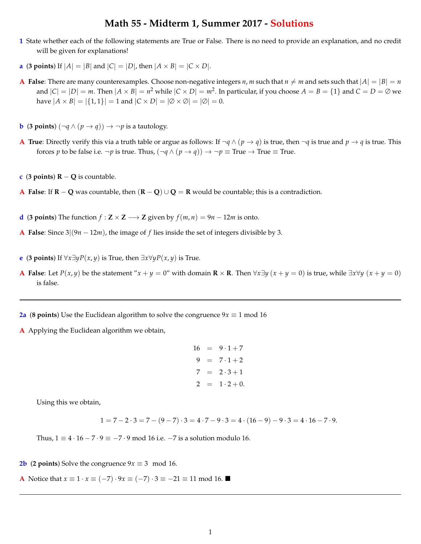## **Math 55 - Midterm 1, Summer 2017 - Solutions**

- **1** State whether each of the following statements are True or False. There is no need to provide an explanation, and no credit will be given for explanations!
- **a** (**3 points**) If  $|A| = |B|$  and  $|C| = |D|$ , then  $|A \times B| = |C \times D|$ .
- **A** False: There are many counterexamples. Choose non-negative integers *n*, *m* such that  $n \neq m$  and sets such that  $|A| = |B| = n$ and  $|C| = |D| = m$ . Then  $|A \times B| = n^2$  while  $|C \times D| = m^2$ . In particular, if you choose  $A = B = \{1\}$  and  $C = D = \emptyset$  we have  $|A \times B| = |\{1, 1\}| = 1$  and  $|C \times D| = |\emptyset \times \emptyset| = |\emptyset| = 0$ .
- **b** (**3 points**)  $(\neg q \land (p \rightarrow q)) \rightarrow \neg p$  is a tautology.
- **A True**: Directly verify this via a truth table or argue as follows: If  $\neg q \wedge (p \rightarrow q)$  is true, then  $\neg q$  is true and  $p \rightarrow q$  is true. This forces *p* to be false i.e.  $\neg p$  is true. Thus,  $(\neg q \land (p \rightarrow q)) \rightarrow \neg p \equiv \text{True} \rightarrow \text{True} \equiv \text{True}$ .
- **c** (**3** points)  $R Q$  is countable.
- **A False:** If  $\mathbf{R} \mathbf{Q}$  was countable, then  $(\mathbf{R} \mathbf{Q}) \cup \mathbf{Q} = \mathbf{R}$  would be countable; this is a contradiction.
- **d** (**3** points) The function  $f : \mathbf{Z} \times \mathbf{Z} \longrightarrow \mathbf{Z}$  given by  $f(m, n) = 9n 12m$  is onto.
- **A False**: Since  $3(9n 12m)$ , the image of f lies inside the set of integers divisible by 3.
- **e** (**3** points) If  $\forall x \exists y P(x, y)$  is True, then  $\exists x \forall y P(x, y)$  is True.
- **A** False: Let  $P(x, y)$  be the statement " $x + y = 0$ " with domain  $\mathbb{R} \times \mathbb{R}$ . Then  $\forall x \exists y (x + y = 0)$  is true, while  $\exists x \forall y (x + y = 0)$ is false.
- **2a** (**8** points) Use the Euclidean algorithm to solve the congruence  $9x \equiv 1 \text{ mod } 16$
- **A** Applying the Euclidean algorithm we obtain,

```
16 = 9 \cdot 1 + 79 = 7 \cdot 1 + 27 = 2 \cdot 3 + 12 = 1 \cdot 2 + 0.
```
Using this we obtain,

$$
1 = 7 - 2 \cdot 3 = 7 - (9 - 7) \cdot 3 = 4 \cdot 7 - 9 \cdot 3 = 4 \cdot (16 - 9) - 9 \cdot 3 = 4 \cdot 16 - 7 \cdot 9.
$$

Thus,  $1 \equiv 4 \cdot 16 - 7 \cdot 9 \equiv -7 \cdot 9 \mod 16$  i.e.  $-7$  is a solution modulo 16.

**2b** (**2 points**) Solve the congruence  $9x \equiv 3 \mod 16$ .

**A** Notice that  $x \equiv 1 \cdot x \equiv (-7) \cdot 9x \equiv (-7) \cdot 3 \equiv -21 \equiv 11 \mod 16$ .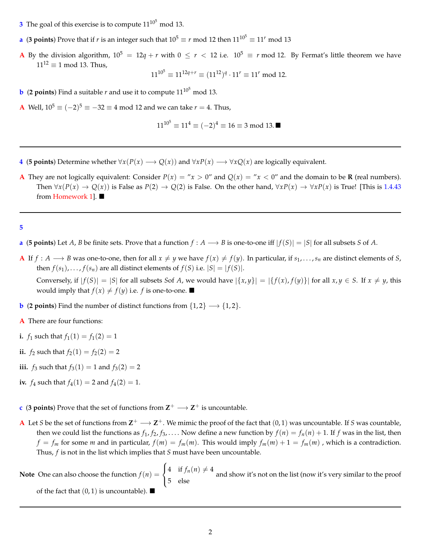- **3** The goal of this exercise is to compute  $11^{10^5}$  mod 13.
- **a** (3 points) Prove that if *r* is an integer such that  $10^5 \equiv r \mod 12$  then  $11^{10^5} \equiv 11^r \mod 13$
- **A** By the division algorithm,  $10^5 = 12q + r$  with  $0 \le r < 12$  i.e.  $10^5 \equiv r \mod 12$ . By Fermat's little theorem we have  $11^{12} \equiv 1 \mod 13$ . Thus,

$$
11^{10^5} \equiv 11^{12q+r} \equiv (11^{12})^q \cdot 11^r \equiv 11^r \mod 12.
$$

**b** (**2** points) Find a suitable *r* and use it to compute  $11^{10^5}$  mod 13.

**A** Well,  $10^5 \equiv (-2)^5 \equiv -32 \equiv 4 \mod 12$  and we can take  $r = 4$ . Thus,

$$
11^{10^5} \equiv 11^4 \equiv (-2)^4 \equiv 16 \equiv 3 \bmod 13.
$$

- **4** (**5 points**) Determine whether  $\forall x(P(x) \rightarrow Q(x))$  and  $\forall xP(x) \rightarrow \forall xQ(x)$  are logically equivalent.
- **A** They are not logically equivalent: Consider  $P(x) = "x > 0"$  and  $Q(x) = "x < 0"$  and the domain to be **R** (real numbers). Then  $\forall x(P(x) \rightarrow Q(x))$  is False as  $P(2) \rightarrow Q(2)$  is False. On the other hand,  $\forall xP(x) \rightarrow \forall xP(x)$  is True! [This is 1.4.43] from Homework 1].  $\blacksquare$

**5**

- **a** (5 points) Let A, B be finite sets. Prove that a function  $f : A \longrightarrow B$  is one-to-one iff  $|f(S)| = |S|$  for all subsets S of A.
- **A** If  $f: A \longrightarrow B$  was one-to-one, then for all  $x \neq y$  we have  $f(x) \neq f(y)$ . In particular, if  $s_1, \ldots, s_n$  are distinct elements of *S*, then *f*(*s*<sub>1</sub>),...,*f*(*s<sub>n</sub>*) are all distinct elements of *f*(*S*) i.e.  $|S| = |f(S)|$ .

Conversely, if  $|f(S)| = |S|$  for all subsets Sof A, we would have  $|\{x,y\}| = |\{f(x), f(y)\}|$  for all  $x, y \in S$ . If  $x \neq y$ , this would imply that  $f(x) \neq f(y)$  i.e. *f* is one-to-one.  $\blacksquare$ 

- **b** (**2 points**) Find the number of distinct functions from  $\{1, 2\} \rightarrow \{1, 2\}$ .
- **A** There are four functions:
- **i.**  $f_1$  such that  $f_1(1) = f_1(2) = 1$
- **ii.**  $f_2$  such that  $f_2(1) = f_2(2) = 2$
- **iii.** *f*<sub>3</sub> such that  $f_3(1) = 1$  and  $f_3(2) = 2$
- **iv.**  $f_4$  such that  $f_4(1) = 2$  and  $f_4(2) = 1$ .
- **c** (**3 points**) Prove that the set of functions from  $\mathbb{Z}^+ \longrightarrow \mathbb{Z}^+$  is uncountable.
- **A** Let *S* be the set of functions from  $\mathbb{Z}^+ \longrightarrow \mathbb{Z}^+$ . We mimic the proof of the fact that  $(0,1)$  was uncountable. If *S* was countable, then we could list the functions as  $f_1, f_2, f_3, \ldots$ . Now define a new function by  $f(n) = f_n(n) + 1$ . If *f* was in the list, then  $f = f_m$  for some *m* and in particular,  $f(m) = f_m(m)$ . This would imply  $f_m(m) + 1 = f_m(m)$ , which is a contradiction. Thus, *f* is not in the list which implies that *S* must have been uncountable.

**Note** One can also choose the function  $f(n) =$  $\sqrt{2}$  $\frac{1}{2}$  $\mathbf{I}$  $4$  if  $f_n(n) \neq 4$  and show it's not on the list (now it's very similar to the proof else of the fact that  $(0, 1)$  is uncountable).